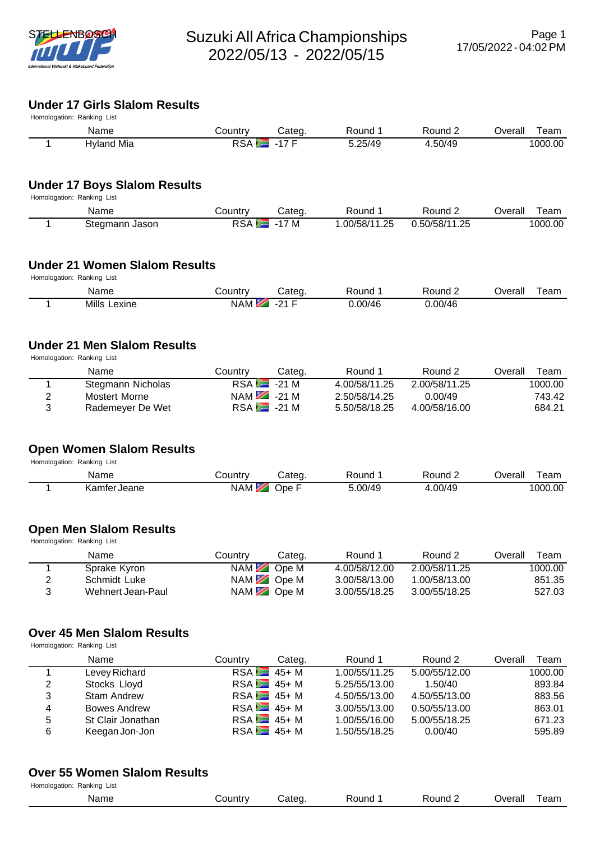

# **Under 17 Girls Slalom Results**

| Homologation: Ranking List |                |        |         |         |         |         |  |  |  |  |
|----------------------------|----------------|--------|---------|---------|---------|---------|--|--|--|--|
| Name                       | <b>Country</b> | Categ. | Round   | Round 2 | Overall | ⊺eam    |  |  |  |  |
| Hyland Mia                 | <b>RSA</b>     | 17L    | 5.25/49 | 1.50/49 |         | 1000.00 |  |  |  |  |

### **Under 17 Boys Slalom Results**

Homologation: Ranking List

| Name           | ∟ountr∨ | Categ.        | Round             | Round              | J∨erall | Γeam    |
|----------------|---------|---------------|-------------------|--------------------|---------|---------|
| Stegmann Jason | RSA     | -<br>M<br>- - | .00/58/11<br>1.25 | ۔50/58/11<br>25. ا |         | 1000.00 |

#### **Under 21 Women Slalom Results**

Homologation: Ranking List

| Name             | ountrٽ     | Cated | Round   | Round<br>$\sim$ $\sim$ $\sim$ $\sim$ $\sim$ $\sim$ | Overall | ∖eam |
|------------------|------------|-------|---------|----------------------------------------------------|---------|------|
| Mills<br>_exine_ | <b>NAM</b> | ດ⊿ ⊏  | 0.00/46 | .00/46                                             |         |      |

### **Under 21 Men Slalom Results**

Homologation: Ranking List

|   | Name              | Countrv       | Categ. | Round 1       | Round 2       | Overall | Team    |
|---|-------------------|---------------|--------|---------------|---------------|---------|---------|
|   | Stegmann Nicholas | $RSA = -21 M$ |        | 4.00/58/11.25 | 2.00/58/11.25 |         | 1000.00 |
|   | Mostert Morne     | $NAM$ $-21M$  |        | 2.50/58/14.25 | 0.00/49       |         | 743.42  |
| 3 | Rademever De Wet  | $RSA = 21 M$  |        | 5.50/58/18.25 | 4.00/58/16.00 |         | 684.21  |

### **Open Women Slalom Results**

Homologation: Ranking List

| Name                     | `ountrv⊹ | ∶ateα | Round   | 'ouno | )verall<br>eam |
|--------------------------|----------|-------|---------|-------|----------------|
| Jeane<br>Kamtar<br>namer | NAM      | )pe   | ົ 00/49 | 00/4  | 1000.00        |

### **Open Men Slalom Results**

Homologation: Ranking List

|   | Name              | Countrv | Categ.      | Round 1       | Round 2       | Overall | Team    |
|---|-------------------|---------|-------------|---------------|---------------|---------|---------|
|   | Sprake Kyron      |         | NAM Ope M   | 4.00/58/12.00 | 2.00/58/11.25 |         | 1000.00 |
|   | Schmidt Luke      |         | $NAM$ Ope M | 3.00/58/13.00 | 1.00/58/13.00 |         | 851.35  |
| 3 | Wehnert Jean-Paul |         | NAM Ope M   | 3.00/55/18.25 | 3.00/55/18.25 |         | 527.03  |

#### **Over 45 Men Slalom Results**

Homologation: Ranking List

|   | Name                | Country        | Categ. | Round 1       | Round 2       | Overall | Team    |
|---|---------------------|----------------|--------|---------------|---------------|---------|---------|
|   | Levey Richard       | $RSA = 45 + M$ |        | 1.00/55/11.25 | 5.00/55/12.00 |         | 1000.00 |
| 2 | Stocks Lloyd        | $RSA = 45 + M$ |        | 5.25/55/13.00 | 1.50/40       |         | 893.84  |
| 3 | <b>Stam Andrew</b>  | $RSA = 45 + M$ |        | 4.50/55/13.00 | 4.50/55/13.00 |         | 883.56  |
| 4 | <b>Bowes Andrew</b> | $RSA = 45 + M$ |        | 3.00/55/13.00 | 0.50/55/13.00 |         | 863.01  |
| 5 | St Clair Jonathan   | $RSA = 45 + M$ |        | 1.00/55/16.00 | 5.00/55/18.25 |         | 671.23  |
| 6 | Keegan Jon-Jon      | $RSA = 45 + M$ |        | 1.50/55/18.25 | 0.00/40       |         | 595.89  |

#### **Over 55 Women Slalom Results**

| Homologation:<br>Ranking List<br>$\sim$ $\sim$ |         |       |       |        |         |      |
|------------------------------------------------|---------|-------|-------|--------|---------|------|
| Name<br>_____                                  | Country | Cated | Round | Round. | Dverall | ream |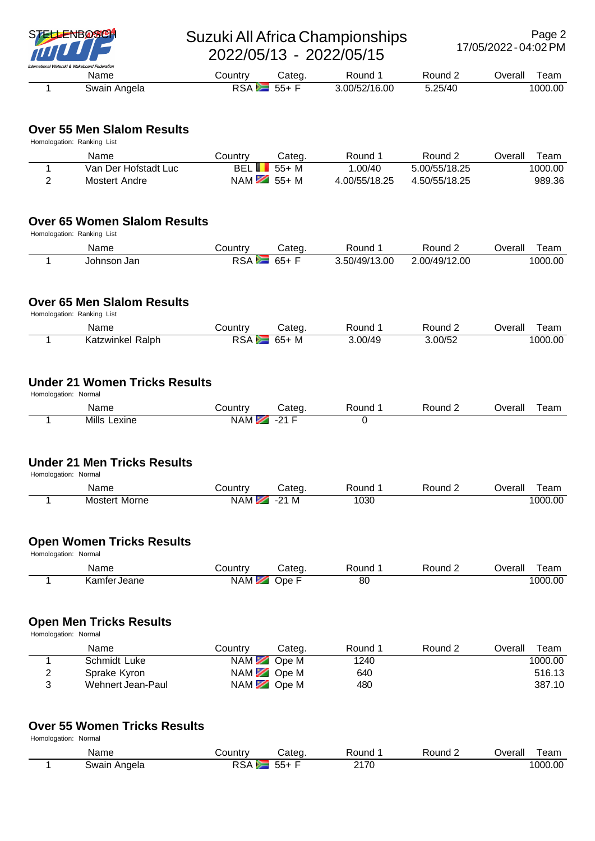

# STELLENBOSCH Suzuki All Africa Championships 2022/05/13 - 2022/05/15

| Name         | ountryٽ   | Cated | Round         | Round 2 | l eam<br>⊃verall |
|--------------|-----------|-------|---------------|---------|------------------|
| Swain Angela | RSA<br>P. | $55+$ | 3.00/52/16.00 | 5.25/40 | 1000.00          |

## **Over 55 Men Slalom Results**

Homologation: Ranking List

| Name                 | Countrv      | Cateɑ.                             | Round         | Round 2       | ⊃verall | Team    |
|----------------------|--------------|------------------------------------|---------------|---------------|---------|---------|
| Van Der Hofstadt Luc | <b>BELIL</b> | 55+ M                              | .00/40        | 5.00/55/18.25 |         | 1000.00 |
| Mostert Andre        |              | NAM $\overline{\phantom{1}}$ 55+ M | 4.00/55/18.25 | 4.50/55/18.25 |         | 989.36  |

### **Over 65 Women Slalom Results**

Homologation: Ranking List

| Name        | ountr∨ٽ    | Categ.              | Round         | Round $\angle$ | ⊃verall | ' eam   |
|-------------|------------|---------------------|---------------|----------------|---------|---------|
| Johnson Jan | <b>RSA</b> | 65+<br><b>COLOR</b> | 3.50/49/13.00 | 2.00/49/12.00  |         | 1000.00 |

#### **Over 65 Men Slalom Results** Homologation: Ranking List

| . | Name                    | Country    | Cateɑ. | Round   | Round 2 | Jverall<br>I eam |
|---|-------------------------|------------|--------|---------|---------|------------------|
|   | <b>Katzwinkel Ralph</b> | <b>RSA</b> | 65+ M  | 3.00/49 | 3.00/52 | 1000.00          |

# **Under 21 Women Tricks Results**

|                      | <b>UNUSI EI WUNUSI NUGA RESURS</b> |                 |        |         |         |         |      |  |  |  |  |  |
|----------------------|------------------------------------|-----------------|--------|---------|---------|---------|------|--|--|--|--|--|
| Homologation: Normal |                                    |                 |        |         |         |         |      |  |  |  |  |  |
|                      | Name                               | Country         | Categ. | Round 1 | Round 2 | Overall | Team |  |  |  |  |  |
|                      | Mills Lexine                       | NAM $\ge$ -21 F |        |         |         |         |      |  |  |  |  |  |
|                      |                                    |                 |        |         |         |         |      |  |  |  |  |  |

## **Under 21 Men Tricks Results**

Homologation: Normal

| Name             | ountry | atea:         | ound:<br>. | . סunמ' | <b>Verall</b><br>ˈeam<br>___ |
|------------------|--------|---------------|------------|---------|------------------------------|
| Morne<br>Mostert | NAM.   | ົ<br>M<br>- - | റാറ<br>U3U |         | 000.00                       |

# **Open Women Tricks Results**

| Homologation: Normal |              |           |        |       |         |         |         |  |  |  |
|----------------------|--------------|-----------|--------|-------|---------|---------|---------|--|--|--|
|                      | Name         | Country   | Cateɑ. | Round | Round 2 | Overall | Team    |  |  |  |
|                      | Kamfer Jeane | NAM Ope F |        | 80    |         |         | 1000.00 |  |  |  |

### **Open Men Tricks Results**

Homologation: Normal

|   | Name              | Countrv     | Categ. | Round 1 | Round 2 | Overall | Team    |
|---|-------------------|-------------|--------|---------|---------|---------|---------|
|   | Schmidt Luke      | $NAM$ Ope M |        | 1240    |         |         | 1000.00 |
| 2 | Sprake Kyron      | $NAM$ Ope M |        | 640     |         |         | 516.13  |
| 3 | Wehnert Jean-Paul | $NAM$ Ope M |        | 480     |         |         | 387.10  |

# **Over 55 Women Tricks Results**

Homologation: Normal

| Name         | <b>⊜ountr</b> ∨ | .<br>ateq | Round         | Round | ⊃verall | eam     |
|--------------|-----------------|-----------|---------------|-------|---------|---------|
| Swain Angela | .<br>KSA.       | --<br>55+ | 0470<br>217 U |       |         | 1000.00 |